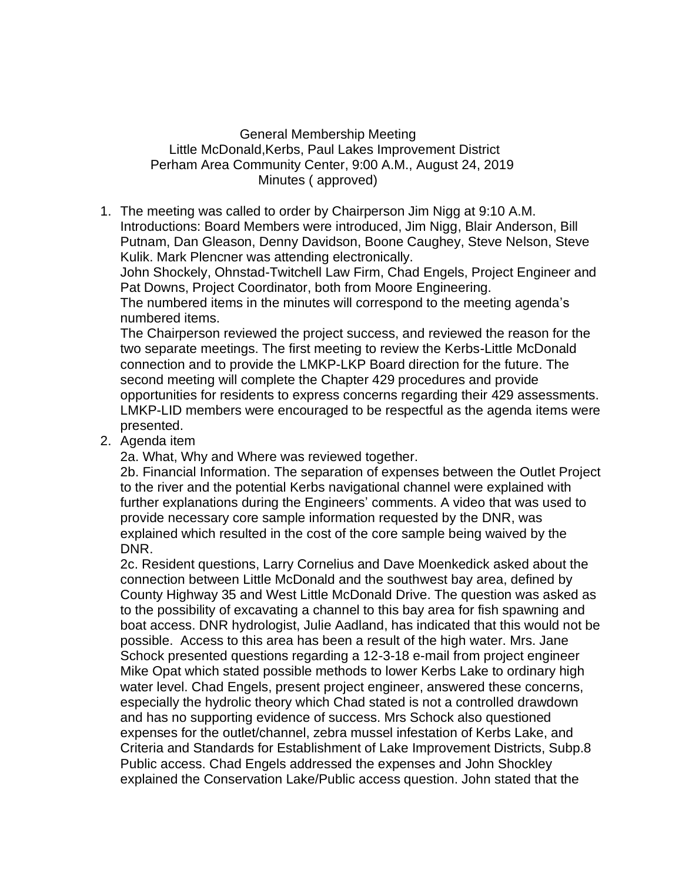General Membership Meeting Little McDonald,Kerbs, Paul Lakes Improvement District Perham Area Community Center, 9:00 A.M., August 24, 2019 Minutes ( approved)

1. The meeting was called to order by Chairperson Jim Nigg at 9:10 A.M. Introductions: Board Members were introduced, Jim Nigg, Blair Anderson, Bill Putnam, Dan Gleason, Denny Davidson, Boone Caughey, Steve Nelson, Steve Kulik. Mark Plencner was attending electronically.

John Shockely, Ohnstad-Twitchell Law Firm, Chad Engels, Project Engineer and Pat Downs, Project Coordinator, both from Moore Engineering.

The numbered items in the minutes will correspond to the meeting agenda's numbered items.

The Chairperson reviewed the project success, and reviewed the reason for the two separate meetings. The first meeting to review the Kerbs-Little McDonald connection and to provide the LMKP-LKP Board direction for the future. The second meeting will complete the Chapter 429 procedures and provide opportunities for residents to express concerns regarding their 429 assessments. LMKP-LID members were encouraged to be respectful as the agenda items were presented.

2. Agenda item

2a. What, Why and Where was reviewed together.

2b. Financial Information. The separation of expenses between the Outlet Project to the river and the potential Kerbs navigational channel were explained with further explanations during the Engineers' comments. A video that was used to provide necessary core sample information requested by the DNR, was explained which resulted in the cost of the core sample being waived by the DNR.

2c. Resident questions, Larry Cornelius and Dave Moenkedick asked about the connection between Little McDonald and the southwest bay area, defined by County Highway 35 and West Little McDonald Drive. The question was asked as to the possibility of excavating a channel to this bay area for fish spawning and boat access. DNR hydrologist, Julie Aadland, has indicated that this would not be possible. Access to this area has been a result of the high water. Mrs. Jane Schock presented questions regarding a 12-3-18 e-mail from project engineer Mike Opat which stated possible methods to lower Kerbs Lake to ordinary high water level. Chad Engels, present project engineer, answered these concerns, especially the hydrolic theory which Chad stated is not a controlled drawdown and has no supporting evidence of success. Mrs Schock also questioned expenses for the outlet/channel, zebra mussel infestation of Kerbs Lake, and Criteria and Standards for Establishment of Lake Improvement Districts, Subp.8 Public access. Chad Engels addressed the expenses and John Shockley explained the Conservation Lake/Public access question. John stated that the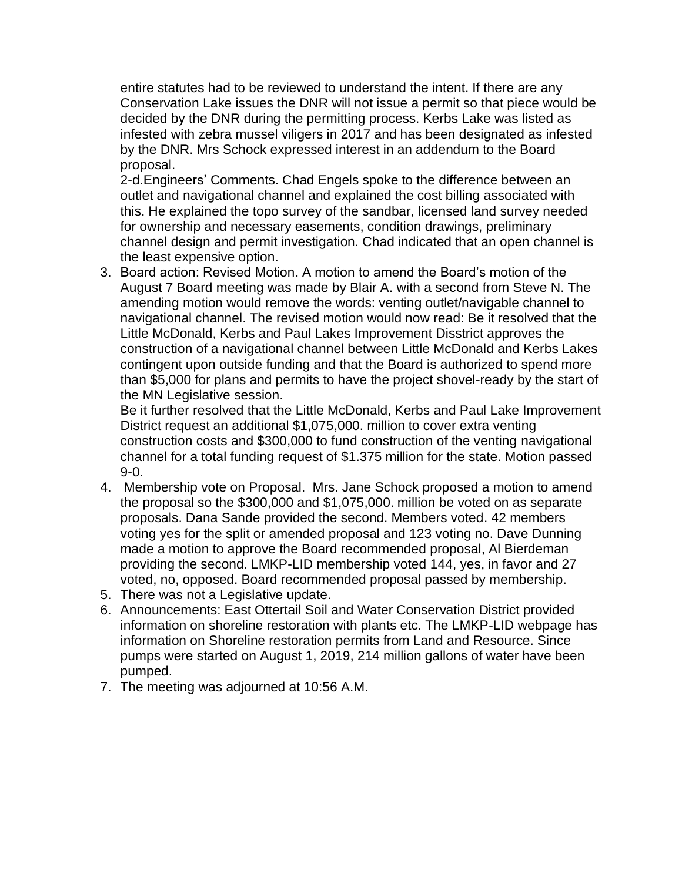entire statutes had to be reviewed to understand the intent. If there are any Conservation Lake issues the DNR will not issue a permit so that piece would be decided by the DNR during the permitting process. Kerbs Lake was listed as infested with zebra mussel viligers in 2017 and has been designated as infested by the DNR. Mrs Schock expressed interest in an addendum to the Board proposal.

2-d.Engineers' Comments. Chad Engels spoke to the difference between an outlet and navigational channel and explained the cost billing associated with this. He explained the topo survey of the sandbar, licensed land survey needed for ownership and necessary easements, condition drawings, preliminary channel design and permit investigation. Chad indicated that an open channel is the least expensive option.

3. Board action: Revised Motion. A motion to amend the Board's motion of the August 7 Board meeting was made by Blair A. with a second from Steve N. The amending motion would remove the words: venting outlet/navigable channel to navigational channel. The revised motion would now read: Be it resolved that the Little McDonald, Kerbs and Paul Lakes Improvement Disstrict approves the construction of a navigational channel between Little McDonald and Kerbs Lakes contingent upon outside funding and that the Board is authorized to spend more than \$5,000 for plans and permits to have the project shovel-ready by the start of the MN Legislative session.

Be it further resolved that the Little McDonald, Kerbs and Paul Lake Improvement District request an additional \$1,075,000. million to cover extra venting construction costs and \$300,000 to fund construction of the venting navigational channel for a total funding request of \$1.375 million for the state. Motion passed 9-0.

- 4. Membership vote on Proposal. Mrs. Jane Schock proposed a motion to amend the proposal so the \$300,000 and \$1,075,000. million be voted on as separate proposals. Dana Sande provided the second. Members voted. 42 members voting yes for the split or amended proposal and 123 voting no. Dave Dunning made a motion to approve the Board recommended proposal, Al Bierdeman providing the second. LMKP-LID membership voted 144, yes, in favor and 27 voted, no, opposed. Board recommended proposal passed by membership.
- 5. There was not a Legislative update.
- 6. Announcements: East Ottertail Soil and Water Conservation District provided information on shoreline restoration with plants etc. The LMKP-LID webpage has information on Shoreline restoration permits from Land and Resource. Since pumps were started on August 1, 2019, 214 million gallons of water have been pumped.
- 7. The meeting was adjourned at 10:56 A.M.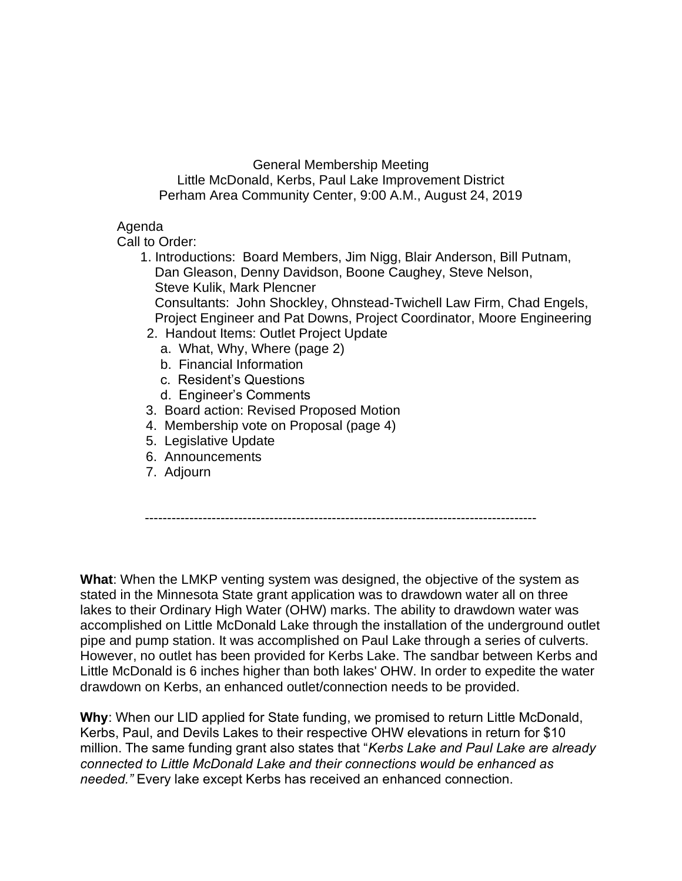General Membership Meeting Little McDonald, Kerbs, Paul Lake Improvement District Perham Area Community Center, 9:00 A.M., August 24, 2019

#### Agenda

Call to Order:

1. Introductions: Board Members, Jim Nigg, Blair Anderson, Bill Putnam, Dan Gleason, Denny Davidson, Boone Caughey, Steve Nelson, Steve Kulik, Mark Plencner

 Consultants: John Shockley, Ohnstead-Twichell Law Firm, Chad Engels, Project Engineer and Pat Downs, Project Coordinator, Moore Engineering

- 2. Handout Items: Outlet Project Update
	- a. What, Why, Where (page 2)
	- b. Financial Information
	- c. Resident's Questions
	- d. Engineer's Comments
- 3. Board action: Revised Proposed Motion
- 4. Membership vote on Proposal (page 4)
- 5. Legislative Update
- 6. Announcements
- 7. Adjourn

----------------------------------------------------------------------------------------

**What**: When the LMKP venting system was designed, the objective of the system as stated in the Minnesota State grant application was to drawdown water all on three lakes to their Ordinary High Water (OHW) marks. The ability to drawdown water was accomplished on Little McDonald Lake through the installation of the underground outlet pipe and pump station. It was accomplished on Paul Lake through a series of culverts. However, no outlet has been provided for Kerbs Lake. The sandbar between Kerbs and Little McDonald is 6 inches higher than both lakes' OHW. In order to expedite the water drawdown on Kerbs, an enhanced outlet/connection needs to be provided.

**Why**: When our LID applied for State funding, we promised to return Little McDonald, Kerbs, Paul, and Devils Lakes to their respective OHW elevations in return for \$10 million. The same funding grant also states that "*Kerbs Lake and Paul Lake are already connected to Little McDonald Lake and their connections would be enhanced as needed."* Every lake except Kerbs has received an enhanced connection.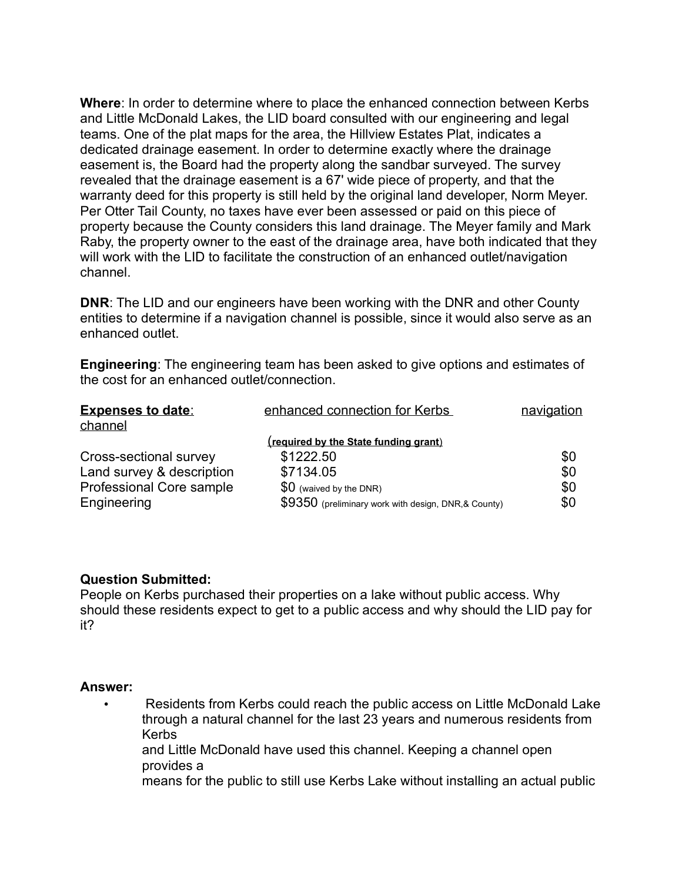**Where**: In order to determine where to place the enhanced connection between Kerbs and Little McDonald Lakes, the LID board consulted with our engineering and legal teams. One of the plat maps for the area, the Hillview Estates Plat, indicates a dedicated drainage easement. In order to determine exactly where the drainage easement is, the Board had the property along the sandbar surveyed. The survey revealed that the drainage easement is a 67' wide piece of property, and that the warranty deed for this property is still held by the original land developer, Norm Meyer. Per Otter Tail County, no taxes have ever been assessed or paid on this piece of property because the County considers this land drainage. The Meyer family and Mark Raby, the property owner to the east of the drainage area, have both indicated that they will work with the LID to facilitate the construction of an enhanced outlet/navigation channel.

**DNR**: The LID and our engineers have been working with the DNR and other County entities to determine if a navigation channel is possible, since it would also serve as an enhanced outlet.

**Engineering**: The engineering team has been asked to give options and estimates of the cost for an enhanced outlet/connection.

| <b>Expenses to date:</b><br>channel | enhanced connection for Kerbs                       | navigation |
|-------------------------------------|-----------------------------------------------------|------------|
|                                     | (required by the State funding grant)               |            |
| Cross-sectional survey              | \$1222.50                                           | \$0        |
| Land survey & description           | \$7134.05                                           | \$0        |
| Professional Core sample            | $$0$ (waived by the DNR)                            | \$0        |
| Engineering                         | \$9350 (preliminary work with design, DNR,& County) | \$0        |

#### **Question Submitted:**

People on Kerbs purchased their properties on a lake without public access. Why should these residents expect to get to a public access and why should the LID pay for it?

#### **Answer:**

• Residents from Kerbs could reach the public access on Little McDonald Lake through a natural channel for the last 23 years and numerous residents from Kerbs

and Little McDonald have used this channel. Keeping a channel open provides a

means for the public to still use Kerbs Lake without installing an actual public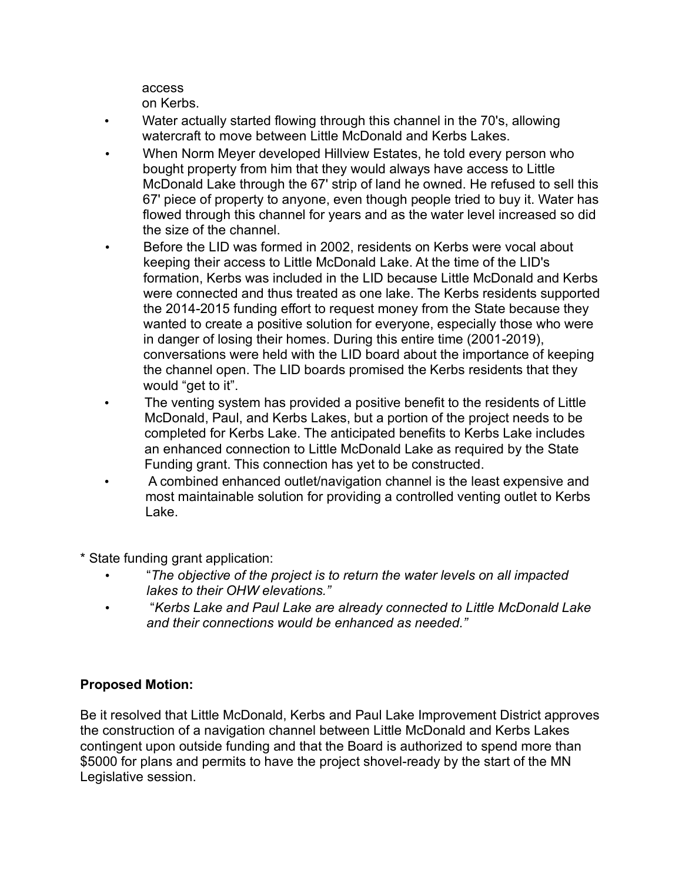access on Kerbs.

- Water actually started flowing through this channel in the 70's, allowing watercraft to move between Little McDonald and Kerbs Lakes.
- When Norm Meyer developed Hillview Estates, he told every person who bought property from him that they would always have access to Little McDonald Lake through the 67' strip of land he owned. He refused to sell this 67' piece of property to anyone, even though people tried to buy it. Water has flowed through this channel for years and as the water level increased so did the size of the channel.
- Before the LID was formed in 2002, residents on Kerbs were vocal about keeping their access to Little McDonald Lake. At the time of the LID's formation, Kerbs was included in the LID because Little McDonald and Kerbs were connected and thus treated as one lake. The Kerbs residents supported the 2014-2015 funding effort to request money from the State because they wanted to create a positive solution for everyone, especially those who were in danger of losing their homes. During this entire time (2001-2019), conversations were held with the LID board about the importance of keeping the channel open. The LID boards promised the Kerbs residents that they would "get to it".
- The venting system has provided a positive benefit to the residents of Little McDonald, Paul, and Kerbs Lakes, but a portion of the project needs to be completed for Kerbs Lake. The anticipated benefits to Kerbs Lake includes an enhanced connection to Little McDonald Lake as required by the State Funding grant. This connection has yet to be constructed.
- A combined enhanced outlet/navigation channel is the least expensive and most maintainable solution for providing a controlled venting outlet to Kerbs Lake.
- \* State funding grant application:
	- "*The objective of the project is to return the water levels on all impacted lakes to their OHW elevations."*
	- "*Kerbs Lake and Paul Lake are already connected to Little McDonald Lake and their connections would be enhanced as needed."*

### **Proposed Motion:**

Be it resolved that Little McDonald, Kerbs and Paul Lake Improvement District approves the construction of a navigation channel between Little McDonald and Kerbs Lakes contingent upon outside funding and that the Board is authorized to spend more than \$5000 for plans and permits to have the project shovel-ready by the start of the MN Legislative session.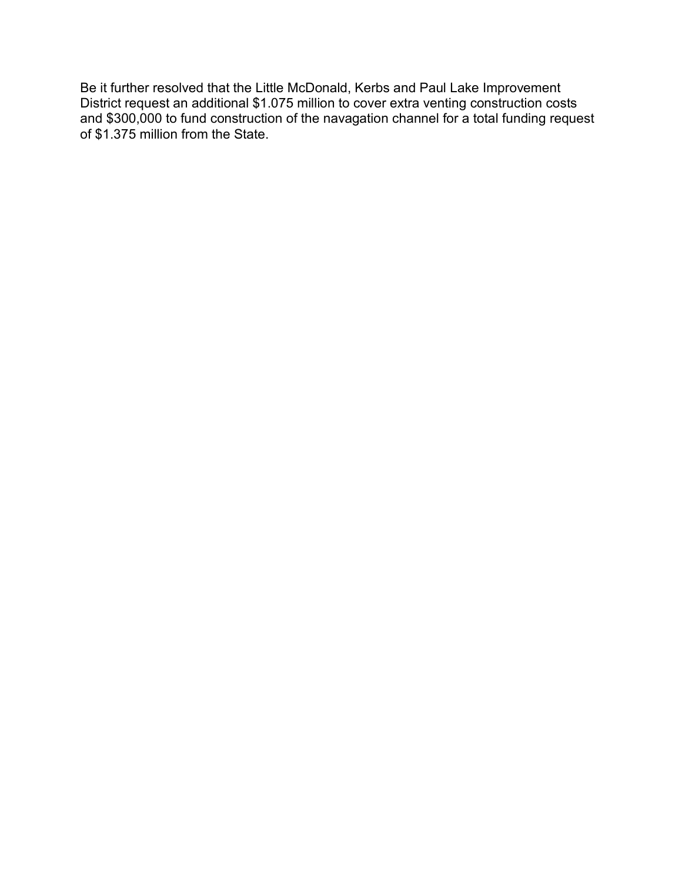Be it further resolved that the Little McDonald, Kerbs and Paul Lake Improvement District request an additional \$1.075 million to cover extra venting construction costs and \$300,000 to fund construction of the navagation channel for a total funding request of \$1.375 million from the State.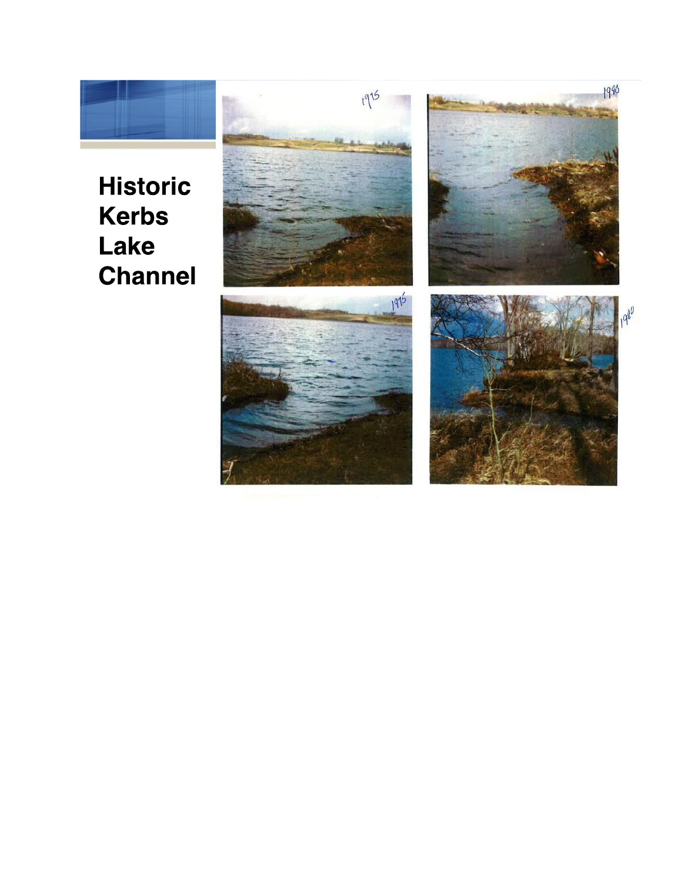# **Historic Kerbs** Lake

**Channel** 

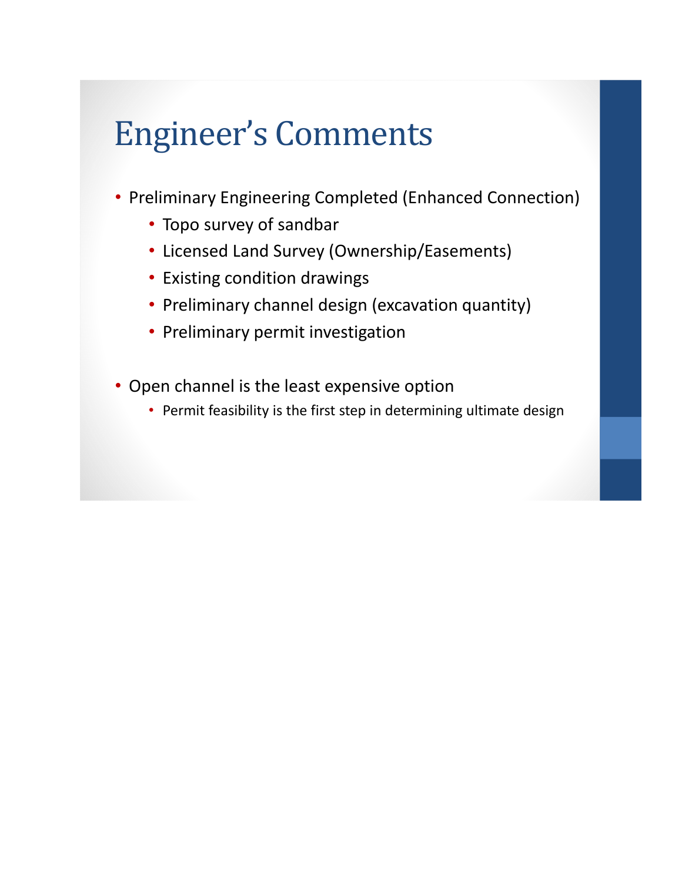# Engineer's Comments

- Preliminary Engineering Completed (Enhanced Connection)
	- Topo survey of sandbar
	- Licensed Land Survey (Ownership/Easements)
	- Existing condition drawings
	- Preliminary channel design (excavation quantity)
	- Preliminary permit investigation
- Open channel is the least expensive option
	- Permit feasibility is the first step in determining ultimate design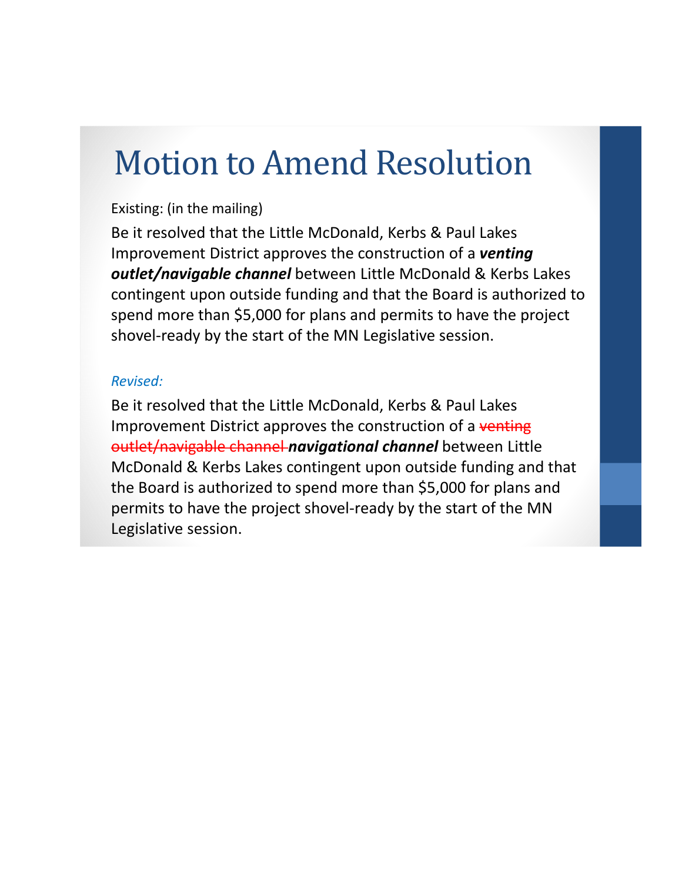## Motion to Amend Resolution

### Existing: (in the mailing)

Be it resolved that the Little McDonald, Kerbs & Paul Lakes Improvement District approves the construction of a *venting outlet/navigable channel* between Little McDonald & Kerbs Lakes contingent upon outside funding and that the Board is authorized to spend more than \$5,000 for plans and permits to have the project shovel-ready by the start of the MN Legislative session.

### *Revised:*

Be it resolved that the Little McDonald, Kerbs & Paul Lakes Improvement District approves the construction of a venting outlet/navigable channel *navigational channel* between Little McDonald & Kerbs Lakes contingent upon outside funding and that the Board is authorized to spend more than \$5,000 for plans and permits to have the project shovel-ready by the start of the MN Legislative session.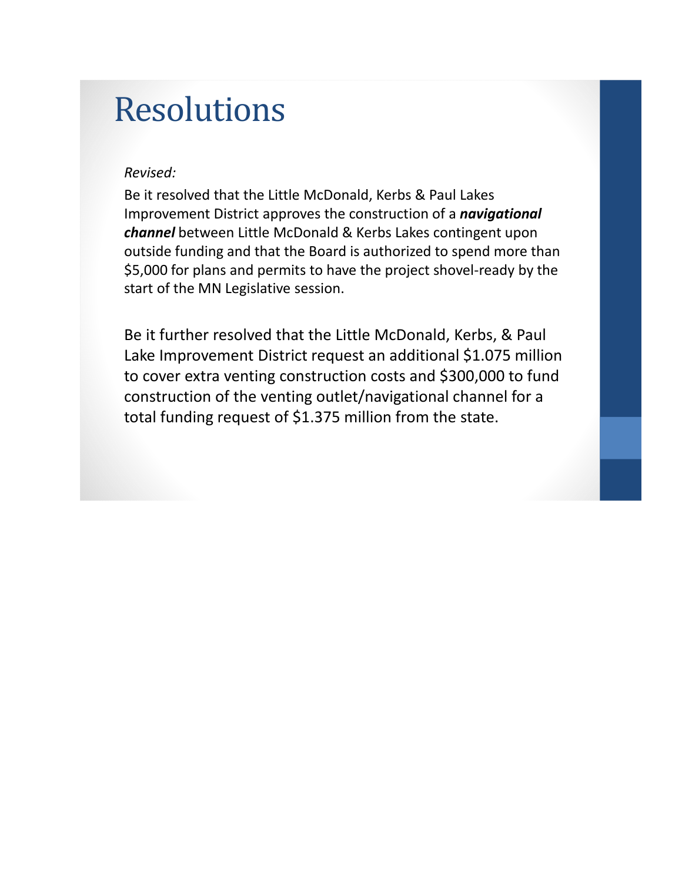### Resolutions

#### *Revised:*

Be it resolved that the Little McDonald, Kerbs & Paul Lakes Improvement District approves the construction of a *navigational channel* between Little McDonald & Kerbs Lakes contingent upon outside funding and that the Board is authorized to spend more than \$5,000 for plans and permits to have the project shovel-ready by the start of the MN Legislative session.

Be it further resolved that the Little McDonald, Kerbs, & Paul Lake Improvement District request an additional \$1.075 million to cover extra venting construction costs and \$300,000 to fund construction of the venting outlet/navigational channel for a total funding request of \$1.375 million from the state.